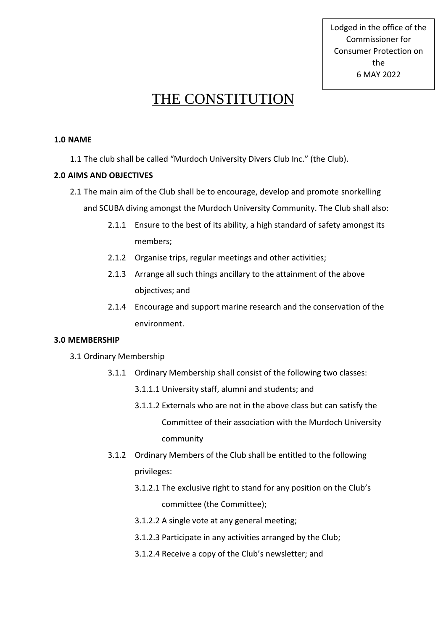Lodged in the office of the Commissioner for Consumer Protection on the 6 MAY 2022

# THE CONSTITUTION

## **1.0 NAME**

1.1 The club shall be called "Murdoch University Divers Club Inc." (the Club).

# **2.0 AIMS AND OBJECTIVES**

- 2.1 The main aim of the Club shall be to encourage, develop and promote snorkelling and SCUBA diving amongst the Murdoch University Community. The Club shall also:
	- 2.1.1 Ensure to the best of its ability, a high standard of safety amongst its members;
	- 2.1.2 Organise trips, regular meetings and other activities;
	- 2.1.3 Arrange all such things ancillary to the attainment of the above objectives; and
	- 2.1.4 Encourage and support marine research and the conservation of the environment.

## **3.0 MEMBERSHIP**

- 3.1 Ordinary Membership
	- 3.1.1 Ordinary Membership shall consist of the following two classes:
		- 3.1.1.1 University staff, alumni and students; and
		- 3.1.1.2 Externals who are not in the above class but can satisfy the Committee of their association with the Murdoch University community
	- 3.1.2 Ordinary Members of the Club shall be entitled to the following privileges:
		- 3.1.2.1 The exclusive right to stand for any position on the Club's committee (the Committee);
		- 3.1.2.2 A single vote at any general meeting;
		- 3.1.2.3 Participate in any activities arranged by the Club;
		- 3.1.2.4 Receive a copy of the Club's newsletter; and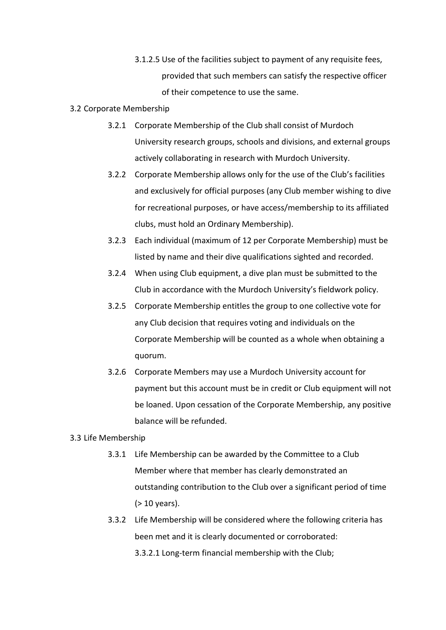3.1.2.5 Use of the facilities subject to payment of any requisite fees, provided that such members can satisfy the respective officer of their competence to use the same.

#### 3.2 Corporate Membership

- 3.2.1 Corporate Membership of the Club shall consist of Murdoch University research groups, schools and divisions, and external groups actively collaborating in research with Murdoch University.
- 3.2.2 Corporate Membership allows only for the use of the Club's facilities and exclusively for official purposes (any Club member wishing to dive for recreational purposes, or have access/membership to its affiliated clubs, must hold an Ordinary Membership).
- 3.2.3 Each individual (maximum of 12 per Corporate Membership) must be listed by name and their dive qualifications sighted and recorded.
- 3.2.4 When using Club equipment, a dive plan must be submitted to the Club in accordance with the Murdoch University's fieldwork policy.
- 3.2.5 Corporate Membership entitles the group to one collective vote for any Club decision that requires voting and individuals on the Corporate Membership will be counted as a whole when obtaining a quorum.
- 3.2.6 Corporate Members may use a Murdoch University account for payment but this account must be in credit or Club equipment will not be loaned. Upon cessation of the Corporate Membership, any positive balance will be refunded.

# 3.3 Life Membership

- 3.3.1 Life Membership can be awarded by the Committee to a Club Member where that member has clearly demonstrated an outstanding contribution to the Club over a significant period of time (> 10 years).
- 3.3.2 Life Membership will be considered where the following criteria has been met and it is clearly documented or corroborated: 3.3.2.1 Long-term financial membership with the Club;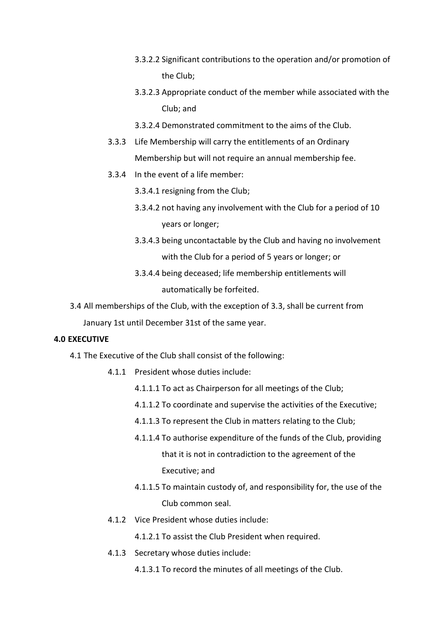- 3.3.2.2 Significant contributions to the operation and/or promotion of the Club;
- 3.3.2.3 Appropriate conduct of the member while associated with the Club; and
- 3.3.2.4 Demonstrated commitment to the aims of the Club.
- 3.3.3 Life Membership will carry the entitlements of an Ordinary Membership but will not require an annual membership fee.
- 3.3.4 In the event of a life member:
	- 3.3.4.1 resigning from the Club;
	- 3.3.4.2 not having any involvement with the Club for a period of 10 years or longer;
	- 3.3.4.3 being uncontactable by the Club and having no involvement with the Club for a period of 5 years or longer; or
	- 3.3.4.4 being deceased; life membership entitlements will automatically be forfeited.
- 3.4 All memberships of the Club, with the exception of 3.3, shall be current from January 1st until December 31st of the same year.

## **4.0 EXECUTIVE**

4.1 The Executive of the Club shall consist of the following:

- 4.1.1 President whose duties include:
	- 4.1.1.1 To act as Chairperson for all meetings of the Club;
	- 4.1.1.2 To coordinate and supervise the activities of the Executive;
	- 4.1.1.3 To represent the Club in matters relating to the Club;
	- 4.1.1.4 To authorise expenditure of the funds of the Club, providing that it is not in contradiction to the agreement of the Executive; and
	- 4.1.1.5 To maintain custody of, and responsibility for, the use of the Club common seal.
- 4.1.2 Vice President whose duties include:
	- 4.1.2.1 To assist the Club President when required.
- 4.1.3 Secretary whose duties include:
	- 4.1.3.1 To record the minutes of all meetings of the Club.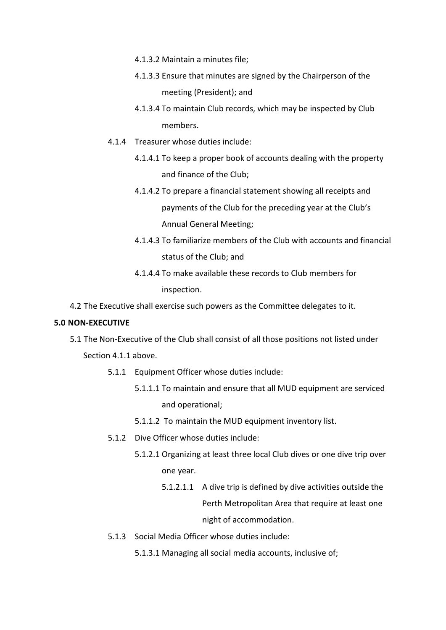- 4.1.3.2 Maintain a minutes file;
- 4.1.3.3 Ensure that minutes are signed by the Chairperson of the meeting (President); and
- 4.1.3.4 To maintain Club records, which may be inspected by Club members.
- 4.1.4 Treasurer whose duties include:
	- 4.1.4.1 To keep a proper book of accounts dealing with the property and finance of the Club;
	- 4.1.4.2 To prepare a financial statement showing all receipts and payments of the Club for the preceding year at the Club's Annual General Meeting;
	- 4.1.4.3 To familiarize members of the Club with accounts and financial status of the Club; and
	- 4.1.4.4 To make available these records to Club members for inspection.
- 4.2 The Executive shall exercise such powers as the Committee delegates to it.

## **5.0 NON-EXECUTIVE**

5.1 The Non-Executive of the Club shall consist of all those positions not listed under

Section 4.1.1 above.

- 5.1.1 Equipment Officer whose duties include:
	- 5.1.1.1 To maintain and ensure that all MUD equipment are serviced and operational;
	- 5.1.1.2 To maintain the MUD equipment inventory list.
- 5.1.2 Dive Officer whose duties include:
	- 5.1.2.1 Organizing at least three local Club dives or one dive trip over one year.
		- 5.1.2.1.1 A dive trip is defined by dive activities outside the Perth Metropolitan Area that require at least one night of accommodation.
- 5.1.3 Social Media Officer whose duties include:
	- 5.1.3.1 Managing all social media accounts, inclusive of;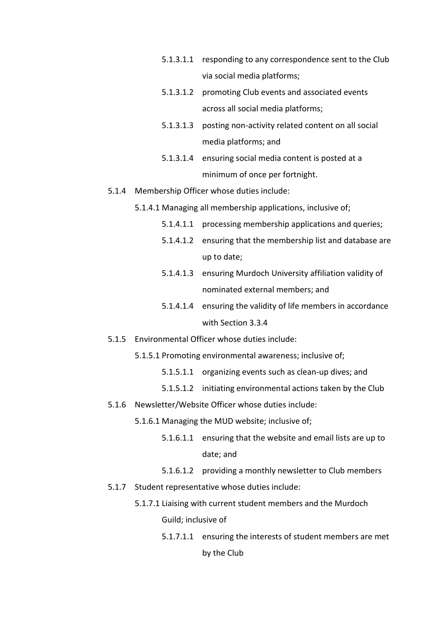- 5.1.3.1.1 responding to any correspondence sent to the Club via social media platforms;
- 5.1.3.1.2 promoting Club events and associated events across all social media platforms;
- 5.1.3.1.3 posting non-activity related content on all social media platforms; and
- 5.1.3.1.4 ensuring social media content is posted at a minimum of once per fortnight.
- 5.1.4 Membership Officer whose duties include:
	- 5.1.4.1 Managing all membership applications, inclusive of;
		- 5.1.4.1.1 processing membership applications and queries;
		- 5.1.4.1.2 ensuring that the membership list and database are up to date;
		- 5.1.4.1.3 ensuring Murdoch University affiliation validity of nominated external members; and
		- 5.1.4.1.4 ensuring the validity of life members in accordance with Section 3.3.4
- 5.1.5 Environmental Officer whose duties include:
	- 5.1.5.1 Promoting environmental awareness; inclusive of;
		- 5.1.5.1.1 organizing events such as clean-up dives; and
		- 5.1.5.1.2 initiating environmental actions taken by the Club
- 5.1.6 Newsletter/Website Officer whose duties include:
	- 5.1.6.1 Managing the MUD website; inclusive of;
		- 5.1.6.1.1 ensuring that the website and email lists are up to date; and
		- 5.1.6.1.2 providing a monthly newsletter to Club members
- 5.1.7 Student representative whose duties include:
	- 5.1.7.1 Liaising with current student members and the Murdoch Guild; inclusive of
		- 5.1.7.1.1 ensuring the interests of student members are met by the Club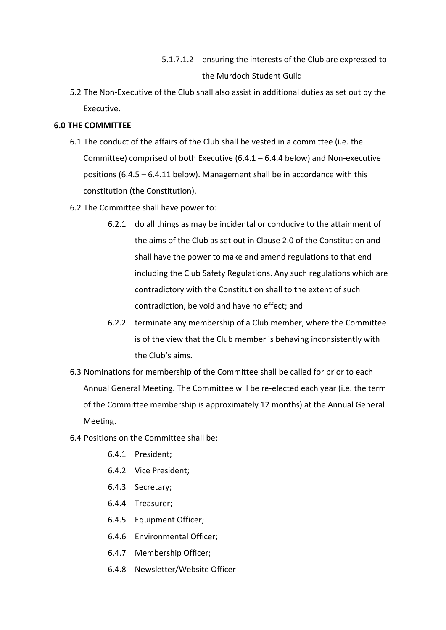- 5.1.7.1.2 ensuring the interests of the Club are expressed to the Murdoch Student Guild
- 5.2 The Non-Executive of the Club shall also assist in additional duties as set out by the Executive.

# **6.0 THE COMMITTEE**

- 6.1 The conduct of the affairs of the Club shall be vested in a committee (i.e. the Committee) comprised of both Executive (6.4.1 – 6.4.4 below) and Non-executive positions (6.4.5 – 6.4.11 below). Management shall be in accordance with this constitution (the Constitution).
- 6.2 The Committee shall have power to:
	- 6.2.1 do all things as may be incidental or conducive to the attainment of the aims of the Club as set out in Clause 2.0 of the Constitution and shall have the power to make and amend regulations to that end including the Club Safety Regulations. Any such regulations which are contradictory with the Constitution shall to the extent of such contradiction, be void and have no effect; and
	- 6.2.2 terminate any membership of a Club member, where the Committee is of the view that the Club member is behaving inconsistently with the Club's aims.
- 6.3 Nominations for membership of the Committee shall be called for prior to each Annual General Meeting. The Committee will be re-elected each year (i.e. the term of the Committee membership is approximately 12 months) at the Annual General Meeting.
- 6.4 Positions on the Committee shall be:
	- 6.4.1 President;
	- 6.4.2 Vice President;
	- 6.4.3 Secretary;
	- 6.4.4 Treasurer;
	- 6.4.5 Equipment Officer;
	- 6.4.6 Environmental Officer;
	- 6.4.7 Membership Officer;
	- 6.4.8 Newsletter/Website Officer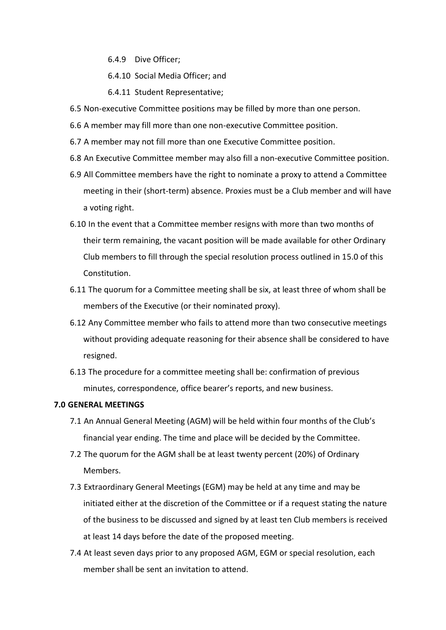6.4.9 Dive Officer;

6.4.10 Social Media Officer; and

6.4.11 Student Representative;

- 6.5 Non-executive Committee positions may be filled by more than one person.
- 6.6 A member may fill more than one non-executive Committee position.
- 6.7 A member may not fill more than one Executive Committee position.
- 6.8 An Executive Committee member may also fill a non-executive Committee position.
- 6.9 All Committee members have the right to nominate a proxy to attend a Committee meeting in their (short-term) absence. Proxies must be a Club member and will have a voting right.
- 6.10 In the event that a Committee member resigns with more than two months of their term remaining, the vacant position will be made available for other Ordinary Club members to fill through the special resolution process outlined in 15.0 of this Constitution.
- 6.11 The quorum for a Committee meeting shall be six, at least three of whom shall be members of the Executive (or their nominated proxy).
- 6.12 Any Committee member who fails to attend more than two consecutive meetings without providing adequate reasoning for their absence shall be considered to have resigned.
- 6.13 The procedure for a committee meeting shall be: confirmation of previous minutes, correspondence, office bearer's reports, and new business.

## **7.0 GENERAL MEETINGS**

- 7.1 An Annual General Meeting (AGM) will be held within four months of the Club's financial year ending. The time and place will be decided by the Committee.
- 7.2 The quorum for the AGM shall be at least twenty percent (20%) of Ordinary Members.
- 7.3 Extraordinary General Meetings (EGM) may be held at any time and may be initiated either at the discretion of the Committee or if a request stating the nature of the business to be discussed and signed by at least ten Club members is received at least 14 days before the date of the proposed meeting.
- 7.4 At least seven days prior to any proposed AGM, EGM or special resolution, each member shall be sent an invitation to attend.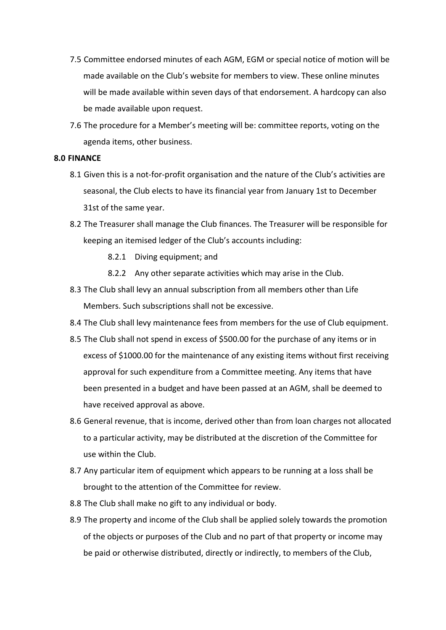- 7.5 Committee endorsed minutes of each AGM, EGM or special notice of motion will be made available on the Club's website for members to view. These online minutes will be made available within seven days of that endorsement. A hardcopy can also be made available upon request.
- 7.6 The procedure for a Member's meeting will be: committee reports, voting on the agenda items, other business.

#### **8.0 FINANCE**

- 8.1 Given this is a not-for-profit organisation and the nature of the Club's activities are seasonal, the Club elects to have its financial year from January 1st to December 31st of the same year.
- 8.2 The Treasurer shall manage the Club finances. The Treasurer will be responsible for keeping an itemised ledger of the Club's accounts including:
	- 8.2.1 Diving equipment; and
	- 8.2.2 Any other separate activities which may arise in the Club.
- 8.3 The Club shall levy an annual subscription from all members other than Life Members. Such subscriptions shall not be excessive.
- 8.4 The Club shall levy maintenance fees from members for the use of Club equipment.
- 8.5 The Club shall not spend in excess of \$500.00 for the purchase of any items or in excess of \$1000.00 for the maintenance of any existing items without first receiving approval for such expenditure from a Committee meeting. Any items that have been presented in a budget and have been passed at an AGM, shall be deemed to have received approval as above.
- 8.6 General revenue, that is income, derived other than from loan charges not allocated to a particular activity, may be distributed at the discretion of the Committee for use within the Club.
- 8.7 Any particular item of equipment which appears to be running at a loss shall be brought to the attention of the Committee for review.
- 8.8 The Club shall make no gift to any individual or body.
- 8.9 The property and income of the Club shall be applied solely towards the promotion of the objects or purposes of the Club and no part of that property or income may be paid or otherwise distributed, directly or indirectly, to members of the Club,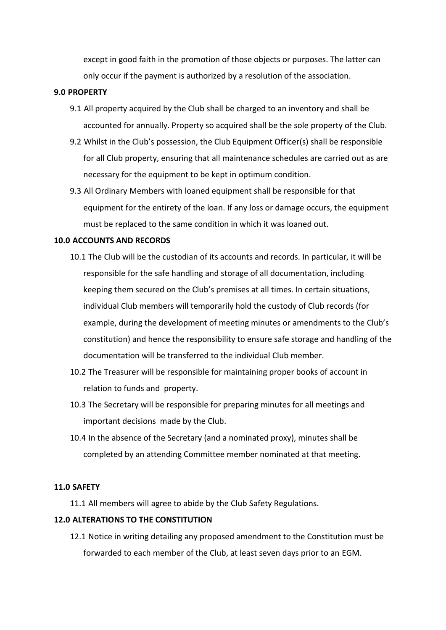except in good faith in the promotion of those objects or purposes. The latter can only occur if the payment is authorized by a resolution of the association.

#### **9.0 PROPERTY**

- 9.1 All property acquired by the Club shall be charged to an inventory and shall be accounted for annually. Property so acquired shall be the sole property of the Club.
- 9.2 Whilst in the Club's possession, the Club Equipment Officer(s) shall be responsible for all Club property, ensuring that all maintenance schedules are carried out as are necessary for the equipment to be kept in optimum condition.
- 9.3 All Ordinary Members with loaned equipment shall be responsible for that equipment for the entirety of the loan. If any loss or damage occurs, the equipment must be replaced to the same condition in which it was loaned out.

## **10.0 ACCOUNTS AND RECORDS**

- 10.1 The Club will be the custodian of its accounts and records. In particular, it will be responsible for the safe handling and storage of all documentation, including keeping them secured on the Club's premises at all times. In certain situations, individual Club members will temporarily hold the custody of Club records (for example, during the development of meeting minutes or amendments to the Club's constitution) and hence the responsibility to ensure safe storage and handling of the documentation will be transferred to the individual Club member.
- 10.2 The Treasurer will be responsible for maintaining proper books of account in relation to funds and property.
- 10.3 The Secretary will be responsible for preparing minutes for all meetings and important decisions made by the Club.
- 10.4 In the absence of the Secretary (and a nominated proxy), minutes shall be completed by an attending Committee member nominated at that meeting.

#### **11.0 SAFETY**

11.1 All members will agree to abide by the Club Safety Regulations.

## **12.0 ALTERATIONS TO THE CONSTITUTION**

12.1 Notice in writing detailing any proposed amendment to the Constitution must be forwarded to each member of the Club, at least seven days prior to an EGM.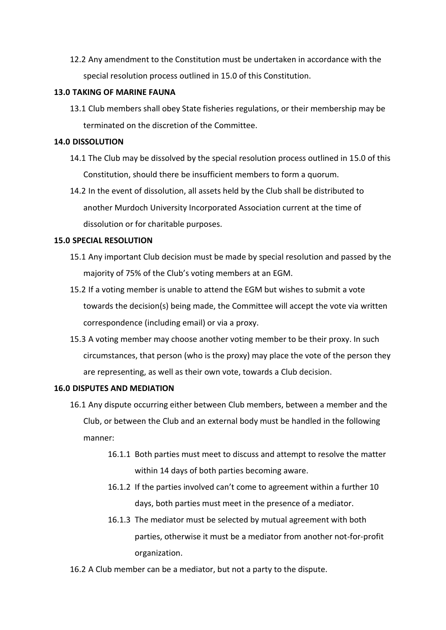12.2 Any amendment to the Constitution must be undertaken in accordance with the special resolution process outlined in 15.0 of this Constitution.

#### **13.0 TAKING OF MARINE FAUNA**

13.1 Club members shall obey State fisheries regulations, or their membership may be terminated on the discretion of the Committee.

## **14.0 DISSOLUTION**

- 14.1 The Club may be dissolved by the special resolution process outlined in 15.0 of this Constitution, should there be insufficient members to form a quorum.
- 14.2 In the event of dissolution, all assets held by the Club shall be distributed to another Murdoch University Incorporated Association current at the time of dissolution or for charitable purposes.

#### **15.0 SPECIAL RESOLUTION**

- 15.1 Any important Club decision must be made by special resolution and passed by the majority of 75% of the Club's voting members at an EGM.
- 15.2 If a voting member is unable to attend the EGM but wishes to submit a vote towards the decision(s) being made, the Committee will accept the vote via written correspondence (including email) or via a proxy.
- 15.3 A voting member may choose another voting member to be their proxy. In such circumstances, that person (who is the proxy) may place the vote of the person they are representing, as well as their own vote, towards a Club decision.

## **16.0 DISPUTES AND MEDIATION**

- 16.1 Any dispute occurring either between Club members, between a member and the Club, or between the Club and an external body must be handled in the following manner:
	- 16.1.1 Both parties must meet to discuss and attempt to resolve the matter within 14 days of both parties becoming aware.
	- 16.1.2 If the parties involved can't come to agreement within a further 10 days, both parties must meet in the presence of a mediator.
	- 16.1.3 The mediator must be selected by mutual agreement with both parties, otherwise it must be a mediator from another not-for-profit organization.
- 16.2 A Club member can be a mediator, but not a party to the dispute.